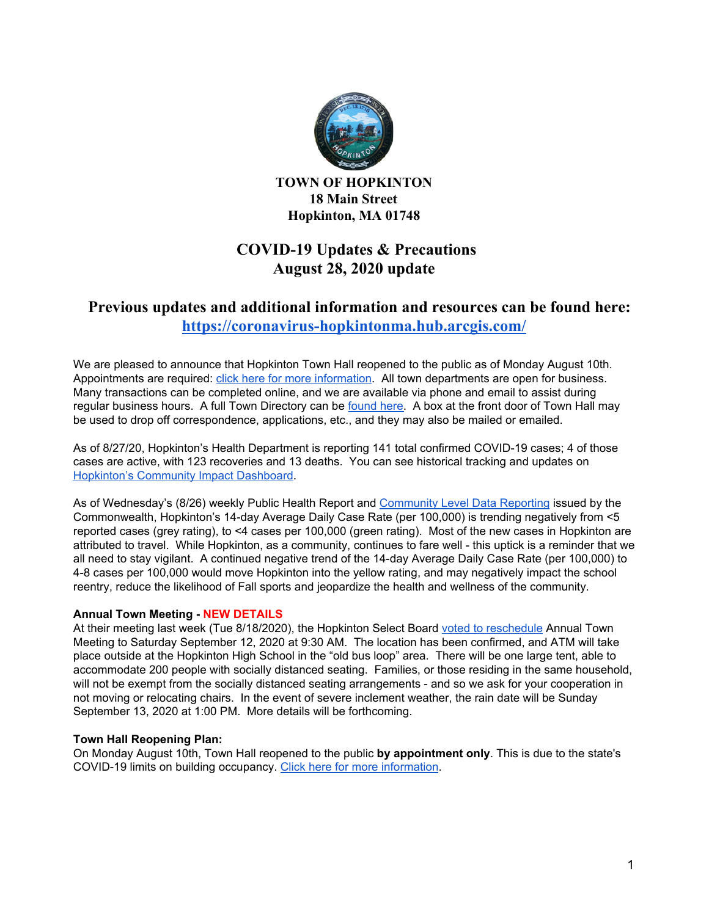

**TOWN OF HOPKINTON 18 Main Street Hopkinton, MA 01748**

# **COVID-19 Updates & Precautions August 28, 2020 update**

# **Previous updates and additional information and resources can be found here: <https://coronavirus-hopkintonma.hub.arcgis.com/>**

We are pleased to announce that Hopkinton Town Hall reopened to the public as of Monday August 10th. Appointments are required: click here for more [information](https://www.hopkintonma.gov/Hopkinton%20Town%20Hall%20Reopening%20Plan%208-7-2020.pdf). All town departments are open for business. Many transactions can be completed online, and we are available via phone and email to assist during regular business hours. A full Town Directory can be [found](https://www.hopkintonma.gov/departments/index.php) here. A box at the front door of Town Hall may be used to drop off correspondence, applications, etc., and they may also be mailed or emailed.

As of 8/27/20, Hopkinton's Health Department is reporting 141 total confirmed COVID-19 cases; 4 of those cases are active, with 123 recoveries and 13 deaths. You can see historical tracking and updates on [Hopkinton's](https://hopkintonma.maps.arcgis.com/apps/opsdashboard/index.html#/01aa244939e540aeb2991ec71392d431) Community Impact Dashboard.

As of Wednesday's (8/26) weekly Public Health Report and [Community](https://www.mass.gov/info-details/community-level-covid-19-data-reporting) Level Data Reporting issued by the Commonwealth, Hopkinton's 14-day Average Daily Case Rate (per 100,000) is trending negatively from <5 reported cases (grey rating), to <4 cases per 100,000 (green rating). Most of the new cases in Hopkinton are attributed to travel. While Hopkinton, as a community, continues to fare well - this uptick is a reminder that we all need to stay vigilant. A continued negative trend of the 14-day Average Daily Case Rate (per 100,000) to 4-8 cases per 100,000 would move Hopkinton into the yellow rating, and may negatively impact the school reentry, reduce the likelihood of Fall sports and jeopardize the health and wellness of the community.

## **Annual Town Meeting - NEW DETAILS**

At their meeting last week (Tue 8/18/2020), the Hopkinton Select Board voted to [reschedule](https://groups.google.com/a/hopkintonma.gov/forum/#!topic/bosagendas/aRYGIy5_ATc) Annual Town Meeting to Saturday September 12, 2020 at 9:30 AM. The location has been confirmed, and ATM will take place outside at the Hopkinton High School in the "old bus loop" area. There will be one large tent, able to accommodate 200 people with socially distanced seating. Families, or those residing in the same household, will not be exempt from the socially distanced seating arrangements - and so we ask for your cooperation in not moving or relocating chairs. In the event of severe inclement weather, the rain date will be Sunday September 13, 2020 at 1:00 PM. More details will be forthcoming.

## **Town Hall Reopening Plan:**

On Monday August 10th, Town Hall reopened to the public **by appointment only**. This is due to the state's COVID-19 limits on building occupancy. Click here for more [information.](https://www.hopkintonma.gov/Hopkinton%20Town%20Hall%20Reopening%20Plan%208-7-2020.pdf)